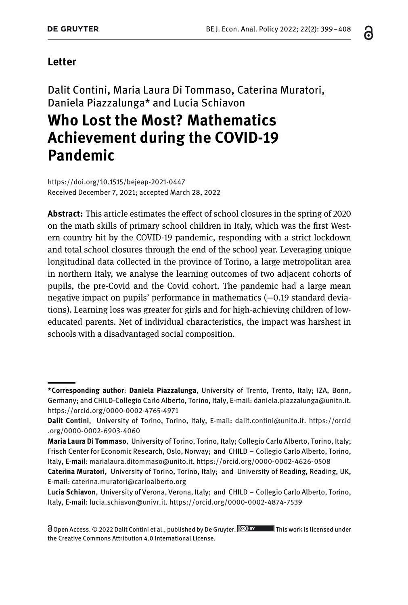#### **Letter**

Dalit Contini, Maria Laura Di Tommaso, Caterina Muratori, Daniela Piazzalunga\* and Lucia Schiavon

# **Who Lost the Most? Mathematics Achievement during the COVID-19 Pandemic**

<https://doi.org/10.1515/bejeap-2021-0447> Received December 7, 2021; accepted March 28, 2022

**Abstract:** This article estimates the effect of school closures in the spring of 2020 on the math skills of primary school children in Italy, which was the first Western country hit by the COVID-19 pandemic, responding with a strict lockdown and total school closures through the end of the school year. Leveraging unique longitudinal data collected in the province of Torino, a large metropolitan area in northern Italy, we analyse the learning outcomes of two adjacent cohorts of pupils, the pre-Covid and the Covid cohort. The pandemic had a large mean negative impact on pupils' performance in mathematics (-0.19 standard deviations). Learning loss was greater for girls and for high-achieving children of loweducated parents. Net of individual characteristics, the impact was harshest in schools with a disadvantaged social composition.

ဥ

**<sup>\*</sup>Corresponding author**: **Daniela Piazzalunga**, University of Trento, Trento, Italy; IZA, Bonn, Germany; and CHILD-Collegio Carlo Alberto, Torino, Italy, E-mail: [daniela.piazzalunga@unitn.it.](mailto:daniela.piazzalunga@unitn.it) <https://orcid.org/0000-0002-4765-4971>

**Dalit Contini**, University of Torino, Torino, Italy, E-mail: [dalit.contini@unito.it.](mailto:dalit.contini@unito.it) [https://orcid](https://orcid.org/0000-0002-6903-4060) [.org/0000-0002-6903-4060](https://orcid.org/0000-0002-6903-4060)

**Maria Laura Di Tommaso**, University of Torino, Torino, Italy; Collegio Carlo Alberto, Torino, Italy; Frisch Center for Economic Research, Oslo, Norway; and CHILD – Collegio Carlo Alberto, Torino, Italy, E-mail: [marialaura.ditommaso@unito.it.](mailto:marialaura.ditommaso@unito.it) <https://orcid.org/0000-0002-4626-0508>

**Caterina Muratori**, University of Torino, Torino, Italy; and University of Reading, Reading, UK, E-mail: [caterina.muratori@carloalberto.org](mailto:caterina.muratori@carloalberto.org)

**Lucia Schiavon**, University of Verona, Verona, Italy; and CHILD – Collegio Carlo Alberto, Torino, Italy, E-mail: [lucia.schiavon@univr.it.](mailto:lucia.schiavon@univr.it) <https://orcid.org/0000-0002-4874-7539>

Open Access. © 2022 Dalit Contini et al., published by De Gruyter. (Co) BY This work is licensed under the Creative Commons Attribution 4.0 International License.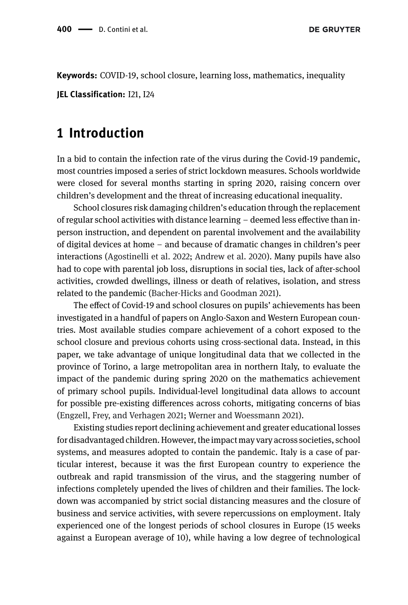**DE GRUYTER** 

**Keywords:** COVID-19, school closure, learning loss, mathematics, inequality

**JEL Classification:** I21, I24

### **1 Introduction**

In a bid to contain the infection rate of the virus during the Covid-19 pandemic, most countries imposed a series of strict lockdown measures. Schools worldwide were closed for several months starting in spring 2020, raising concern over children's development and the threat of increasing educational inequality.

School closures risk damaging children's education through the replacement of regular school activities with distance learning – deemed less effective than inperson instruction, and dependent on parental involvement and the availability of digital devices at home – and because of dramatic changes in children's peer interactions [\(Agostinelli et al. 2022;](#page-7-0) [Andrew et al. 2020\)](#page-8-0). Many pupils have also had to cope with parental job loss, disruptions in social ties, lack of after-school activities, crowded dwellings, illness or death of relatives, isolation, and stress related to the pandemic [\(Bacher-Hicks and Goodman 2021\)](#page-8-1).

The effect of Covid-19 and school closures on pupils' achievements has been investigated in a handful of papers on Anglo-Saxon and Western European countries. Most available studies compare achievement of a cohort exposed to the school closure and previous cohorts using cross-sectional data. Instead, in this paper, we take advantage of unique longitudinal data that we collected in the province of Torino, a large metropolitan area in northern Italy, to evaluate the impact of the pandemic during spring 2020 on the mathematics achievement of primary school pupils. Individual-level longitudinal data allows to account for possible pre-existing differences across cohorts, mitigating concerns of bias [\(Engzell, Frey, and Verhagen 2021;](#page-8-2) [Werner and Woessmann 2021\)](#page-9-0).

Existing studies report declining achievement and greater educational losses for disadvantaged children. However, the impact may vary across societies, school systems, and measures adopted to contain the pandemic. Italy is a case of particular interest, because it was the first European country to experience the outbreak and rapid transmission of the virus, and the staggering number of infections completely upended the lives of children and their families. The lockdown was accompanied by strict social distancing measures and the closure of business and service activities, with severe repercussions on employment. Italy experienced one of the longest periods of school closures in Europe (15 weeks against a European average of 10), while having a low degree of technological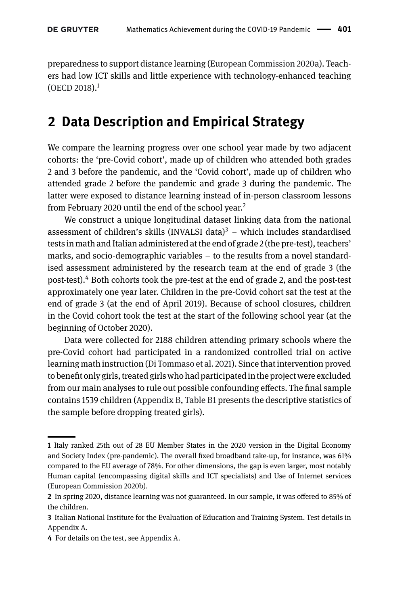preparedness to support distance learning [\(European Commission 2020a\)](#page-8-3). Teachers had low ICT skills and little experience with technology-enhanced teaching  $(OECD 2018).<sup>1</sup>$  $(OECD 2018).<sup>1</sup>$  $(OECD 2018).<sup>1</sup>$  $(OECD 2018).<sup>1</sup>$ 

## **2 Data Description and Empirical Strategy**

We compare the learning progress over one school year made by two adjacent cohorts: the 'pre-Covid cohort', made up of children who attended both grades 2 and 3 before the pandemic, and the 'Covid cohort', made up of children who attended grade 2 before the pandemic and grade 3 during the pandemic. The latter were exposed to distance learning instead of in-person classroom lessons from February 2020 until the end of the school year.<sup>2</sup>

We construct a unique longitudinal dataset linking data from the national assessment of children's skills (INVALSI data) $3 -$  which includes standardised tests in math and Italian administered at the end of grade 2 (the pre-test), teachers' marks, and socio-demographic variables – to the results from a novel standardised assessment administered by the research team at the end of grade 3 (the post-test)[.4](#page-2-3) Both cohorts took the pre-test at the end of grade 2, and the post-test approximately one year later. Children in the pre-Covid cohort sat the test at the end of grade 3 (at the end of April 2019). Because of school closures, children in the Covid cohort took the test at the start of the following school year (at the beginning of October 2020).

Data were collected for 2188 children attending primary schools where the pre-Covid cohort had participated in a randomized controlled trial on active learning math instruction [\(Di Tommaso et al. 2021\)](#page-8-5). Since that intervention proved to benefit only girls, treated girls who had participatedin the project were excluded from our main analyses to rule out possible confounding effects. The final sample contains 1539 children [\(Appendix B,](#page-9-1) [Table B1](#page-9-1) presents the descriptive statistics of the sample before dropping treated girls).

<span id="page-2-0"></span>**<sup>1</sup>** Italy ranked 25th out of 28 EU Member States in the 2020 version in the Digital Economy and Society Index (pre-pandemic). The overall fixed broadband take-up, for instance, was 61% compared to the EU average of 78%. For other dimensions, the gap is even larger, most notably Human capital (encompassing digital skills and ICT specialists) and Use of Internet services [\(European Commission 2020b\)](#page-8-6).

<span id="page-2-1"></span>**<sup>2</sup>** In spring 2020, distance learning was not guaranteed. In our sample, it was offered to 85% of the children.

<span id="page-2-2"></span>**<sup>3</sup>** Italian National Institute for the Evaluation of Education and Training System. Test details in [Appendix A.](#page-9-1)

<span id="page-2-3"></span>**<sup>4</sup>** For details on the test, see [Appendix A.](#page-9-1)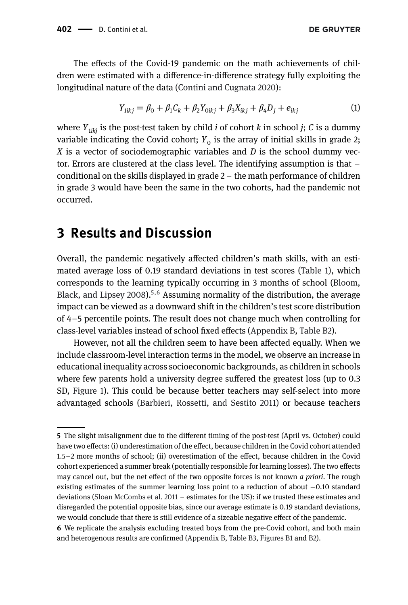**DE GRUYTER** 

The effects of the Covid-19 pandemic on the math achievements of children were estimated with a difference-in-difference strategy fully exploiting the longitudinal nature of the data [\(Contini and Cugnata 2020\)](#page-8-7):

$$
Y_{1ikj} = \beta_0 + \beta_1 C_k + \beta_2 Y_{0ikj} + \beta_3 X_{ikj} + \beta_4 D_j + e_{ikj}
$$
 (1)

where  $Y_{1ikj}$  is the post-test taken by child *i* of cohort *k* in school *j*; *C* is a dummy variable indicating the Covid cohort;  $Y_0$  is the array of initial skills in grade 2; *X* is a vector of sociodemographic variables and *D* is the school dummy vector. Errors are clustered at the class level. The identifying assumption is that – conditional on the skills displayed in grade 2 – the math performance of children in grade 3 would have been the same in the two cohorts, had the pandemic not occurred.

### **3 Results and Discussion**

Overall, the pandemic negatively affected children's math skills, with an estimated average loss of 0.19 standard deviations in test scores [\(Table 1\)](#page-4-0), which [corresponds to the learning typically occurring in 3 months of school \(Bloom,](#page-8-8) Black, and Lipsey 2008).<sup>5,[6](#page-3-1)</sup> Assuming normality of the distribution, the average impact can be viewed as a downward shift in the children's test score distribution of 4–5 percentile points. The result does not change much when controlling for class-level variables instead of school fixed effects [\(Appendix B,](#page-9-1) [Table B2\)](#page-9-1).

However, not all the children seem to have been affected equally. When we include classroom-level interaction terms in the model, we observe an increase in educational inequality across socioeconomic backgrounds, as children in schools where few parents hold a university degree suffered the greatest loss (up to 0.3 SD, [Figure 1\)](#page-5-0). This could be because better teachers may self-select into more advantaged schools [\(Barbieri, Rossetti, and Sestito 2011\)](#page-8-9) or because teachers

<span id="page-3-0"></span>**<sup>5</sup>** The slight misalignment due to the different timing of the post-test (April vs. October) could have two effects: (i) underestimation of the effect, because children in the Covid cohort attended 1.5–2 more months of school; (ii) overestimation of the effect, because children in the Covid cohort experienced a summer break (potentially responsible for learning losses). The two effects may cancel out, but the net effect of the two opposite forces is not known *a priori*. The rough existing estimates of the summer learning loss point to a reduction of about −0.10 standard deviations [\(Sloan McCombs et al. 2011](#page-9-2) – estimates for the US): if we trusted these estimates and disregarded the potential opposite bias, since our average estimate is 0.19 standard deviations, we would conclude that there is still evidence of a sizeable negative effect of the pandemic.

<span id="page-3-1"></span>**<sup>6</sup>** We replicate the analysis excluding treated boys from the pre-Covid cohort, and both main and heterogenous results are confirmed [\(Appendix B,](#page-9-1) [Table B3,](#page-9-1) [Figures B1](#page-9-1) and [B2\)](#page-9-1).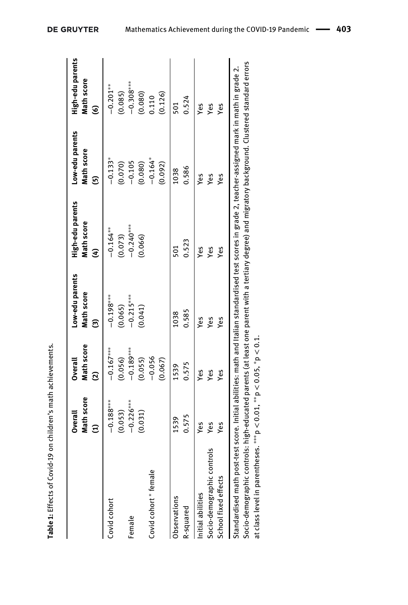|                                                                                                                                                       | Math score<br>Overall<br>$\widehat{\Xi}$ | Math score<br><b>Overall</b><br>ଯି | Low-edu parents<br>Math score<br>මි | High-edu parents<br>Math score<br>E | Low-edu parents<br>Math score<br>6 | High-edu parents<br>Math score<br>ত্ত |
|-------------------------------------------------------------------------------------------------------------------------------------------------------|------------------------------------------|------------------------------------|-------------------------------------|-------------------------------------|------------------------------------|---------------------------------------|
| Covid cohort                                                                                                                                          | $-0.188***$<br>(0.053)                   | $-0.167***$<br>(0.056)             | $-0.198***$<br>(0.065)              | $-0.164***$<br>(0.073)              | $-0.133*$<br>(0.070)               | $-0.201***$<br>(0.085)                |
| Female                                                                                                                                                | $-0.226***$                              | $-0.189***$                        | $-0.215***$                         | $-0.240***$                         | $-0.105$                           | $-0.308***$                           |
|                                                                                                                                                       | (0.031)                                  | (0.055)                            | (0.041)                             | (0.066)                             | (0.080)                            | (0.080)                               |
| Covid cohort * female                                                                                                                                 |                                          | $-0.056$                           |                                     |                                     | $-0.164*$                          | 0.110                                 |
|                                                                                                                                                       |                                          | (0.067)                            |                                     |                                     | (0.092)                            | (0.126)                               |
| Observations                                                                                                                                          | 1539                                     | 1539                               | 1038                                | 501                                 | 1038                               | 501                                   |
| R-squared                                                                                                                                             | 0.575                                    | 0.575                              | 0.585                               | 0.523                               | 0.586                              | 0.524                                 |
| Initial abilities                                                                                                                                     | Yes                                      | Yes                                | Yes                                 | yes                                 | Yes                                | Yes                                   |
| Socio-demographic controls                                                                                                                            | Yes                                      | Yes                                | Yes                                 | Yes                                 | Yes                                | Yes                                   |
| School fixed effects                                                                                                                                  | Yes                                      | Yes                                | Yes                                 | Yes                                 | Yes                                | Yes                                   |
| Standardised math post-test score. Initial abilities: math and Italian standardised test scores in grade 2, teacher-assigned mark in math in grade 2. |                                          |                                    |                                     |                                     |                                    |                                       |
| Socio-demographic controls: high-educated parents (at least one parent with a tertiary degree) and migratory background. Clustered standard errors    |                                          |                                    |                                     |                                     |                                    |                                       |

|  | <b>DE GRUYTER</b> |  |
|--|-------------------|--|
|  |                   |  |

<span id="page-4-0"></span>**Table 1:** Effects of Covid-19 on children's math achievements.

Table 1: Effects of Covid-19 on children's math achievements.

at class level in parentheses. ∗∗∗p *<* 0.01, ∗∗p *<* 0.05, ∗p *<* 0.1.

at class level in parentheses. \*\*\*  $p < 0.01$ , \*\*  $p < 0.05$ , \*  $p < 0.1$ .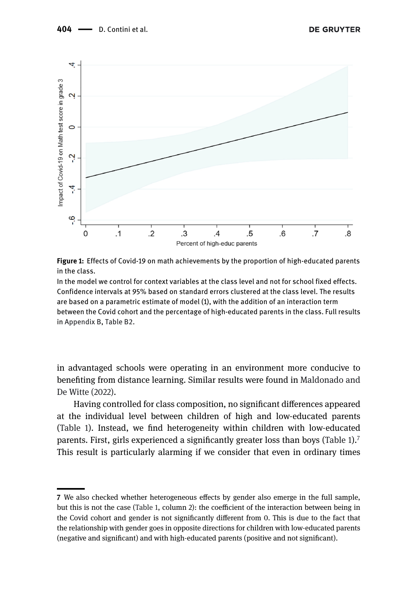

<span id="page-5-0"></span>

**Figure 1:** Effects of Covid-19 on math achievements by the proportion of high-educated parents in the class.

In the model we control for context variables at the class level and not for school fixed effects. Confidence intervals at 95% based on standard errors clustered at the class level. The results are based on a parametric estimate of model (1), with the addition of an interaction term between the Covid cohort and the percentage of high-educated parents in the class. Full results in [Appendix B,](#page-9-1) [Table B2.](#page-9-1)

in advantaged schools were operating in an environment more conducive to [benefiting from distance learning. Similar results were found in](#page-8-10) Maldonado and De Witte (2022).

Having controlled for class composition, no significant differences appeared at the individual level between children of high and low-educated parents [\(Table 1\)](#page-4-0). Instead, we find heterogeneity within children with low-educated parents. First, girls experienced a significantly greater loss than boys [\(Table 1\)](#page-4-0).<sup>7</sup> This result is particularly alarming if we consider that even in ordinary times

<span id="page-5-1"></span>**<sup>7</sup>** We also checked whether heterogeneous effects by gender also emerge in the full sample, but this is not the case [\(Table 1,](#page-4-0) column 2): the coefficient of the interaction between being in the Covid cohort and gender is not significantly different from 0. This is due to the fact that the relationship with gender goes in opposite directions for children with low-educated parents (negative and significant) and with high-educated parents (positive and not significant).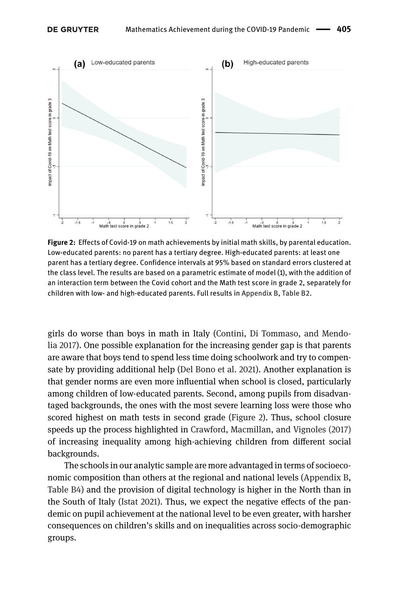<span id="page-6-0"></span>

**Figure 2:** Effects of Covid-19 on math achievements by initial math skills, by parental education. Low-educated parents: no parent has a tertiary degree. High-educated parents: at least one parent has a tertiary degree. Confidence intervals at 95% based on standard errors clustered at the class level. The results are based on a parametric estimate of model (1), with the addition of an interaction term between the Covid cohort and the Math test score in grade 2, separately for children with low- and high-educated parents. Full results in [Appendix B,](#page-9-1) [Table B2.](#page-9-1)

girls do worse than boys in math in Italy (Contini, Di Tommaso, and Mendo[lia 2017\). One possible explanation for the increasing gender gap is that parents](#page-8-11) are aware that boys tend to spend less time doing schoolwork and try to compensate by providing additional help [\(Del Bono et al. 2021\)](#page-8-12). Another explanation is that gender norms are even more influential when school is closed, particularly among children of low-educated parents. Second, among pupils from disadvantaged backgrounds, the ones with the most severe learning loss were those who scored highest on math tests in second grade [\(Figure 2\)](#page-6-0). Thus, school closure speeds up the process highlighted in [Crawford, Macmillan, and Vignoles \(2017\)](#page-8-13) of increasing inequality among high-achieving children from different social backgrounds.

The schools in our analytic sample are more advantaged in terms of socioeconomic composition than others at the regional and national levels [\(Appendix B,](#page-9-1) [Table B4\)](#page-9-1) and the provision of digital technology is higher in the North than in the South of Italy [\(Istat 2021\)](#page-8-14). Thus, we expect the negative effects of the pandemic on pupil achievement at the national level to be even greater, with harsher consequences on children's skills and on inequalities across socio-demographic groups.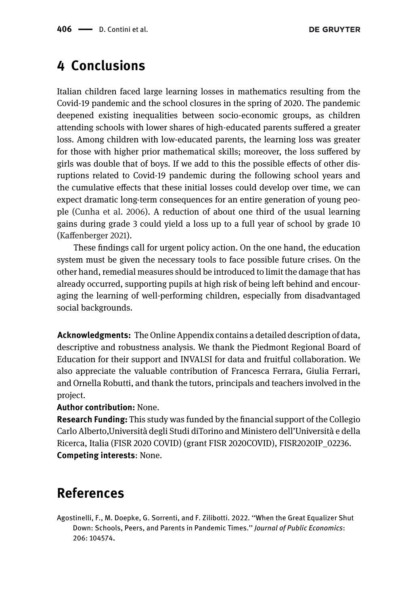## **4 Conclusions**

Italian children faced large learning losses in mathematics resulting from the Covid-19 pandemic and the school closures in the spring of 2020. The pandemic deepened existing inequalities between socio-economic groups, as children attending schools with lower shares of high-educated parents suffered a greater loss. Among children with low-educated parents, the learning loss was greater for those with higher prior mathematical skills; moreover, the loss suffered by girls was double that of boys. If we add to this the possible effects of other disruptions related to Covid-19 pandemic during the following school years and the cumulative effects that these initial losses could develop over time, we can expect dramatic long-term consequences for an entire generation of young people [\(Cunha et al. 2006\)](#page-8-15). A reduction of about one third of the usual learning gains during grade 3 could yield a loss up to a full year of school by grade 10 [\(Kaffenberger 2021\)](#page-8-16).

These findings call for urgent policy action. On the one hand, the education system must be given the necessary tools to face possible future crises. On the other hand, remedial measures should be introduced to limit the damage that has already occurred, supporting pupils at high risk of being left behind and encouraging the learning of well-performing children, especially from disadvantaged social backgrounds.

**Acknowledgments:** The Online Appendix contains a detailed description of data, descriptive and robustness analysis. We thank the Piedmont Regional Board of Education for their support and INVALSI for data and fruitful collaboration. We also appreciate the valuable contribution of Francesca Ferrara, Giulia Ferrari, and Ornella Robutti, and thank the tutors, principals and teachers involved in the project.

#### **Author contribution:** None.

**Research Funding:** This study was funded by the financial support of the Collegio Carlo Alberto,Università degli Studi diTorino and Ministero dell'Università e della Ricerca, Italia (FISR 2020 COVID) (grant FISR 2020COVID), FISR2020IP\_02236. **Competing interests**: None.

# **References**

<span id="page-7-0"></span>Agostinelli, F., M. Doepke, G. Sorrenti, and F. Zilibotti. 2022. ''When the Great Equalizer Shut Down: Schools, Peers, and Parents in Pandemic Times.'' *Journal of Public Economics*: 206: 104574.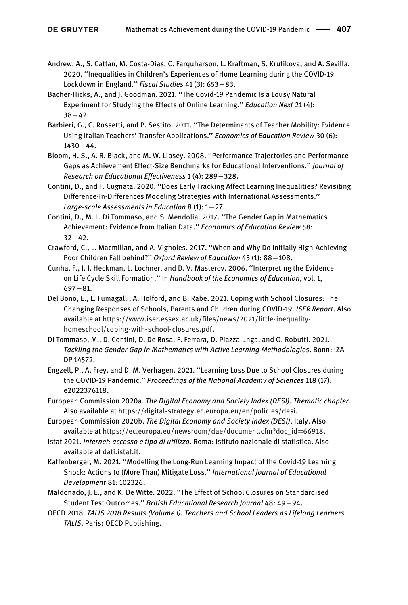- <span id="page-8-0"></span>Andrew, A., S. Cattan, M. Costa-Dias, C. Farquharson, L. Kraftman, S. Krutikova, and A. Sevilla. 2020. ''Inequalities in Children's Experiences of Home Learning during the COVID-19 Lockdown in England.'' *Fiscal Studies* 41 (3): 653−83.
- <span id="page-8-1"></span>Bacher-Hicks, A., and J. Goodman. 2021. ''The Covid-19 Pandemic Is a Lousy Natural Experiment for Studying the Effects of Online Learning.'' *Education Next* 21 (4): 38−42.
- <span id="page-8-9"></span>Barbieri, G., C. Rossetti, and P. Sestito. 2011. ''The Determinants of Teacher Mobility: Evidence Using Italian Teachers' Transfer Applications.'' *Economics of Education Review* 30 (6): 1430−44.
- <span id="page-8-8"></span>Bloom, H. S., A. R. Black, and M. W. Lipsey. 2008. ''Performance Trajectories and Performance Gaps as Achievement Effect-Size Benchmarks for Educational Interventions.'' *Journal of Research on Educational Effectiveness* 1 (4): 289−328.
- <span id="page-8-7"></span>Contini, D., and F. Cugnata. 2020. ''Does Early Tracking Affect Learning Inequalities? Revisiting Difference-In-Differences Modeling Strategies with International Assessments.'' *Large-scale Assessments in Education* 8 (1): 1−27.
- <span id="page-8-11"></span>Contini, D., M. L. Di Tommaso, and S. Mendolia. 2017. ''The Gender Gap in Mathematics Achievement: Evidence from Italian Data.'' *Economics of Education Review* 58: 32−42.
- <span id="page-8-13"></span>Crawford, C., L. Macmillan, and A. Vignoles. 2017. ''When and Why Do Initially High-Achieving Poor Children Fall behind?'' *Oxford Review of Education* 43 (1): 88−108.
- <span id="page-8-15"></span>Cunha, F., J. J. Heckman, L. Lochner, and D. V. Masterov. 2006. ''Interpreting the Evidence on Life Cycle Skill Formation.'' In *Handbook of the Economics of Education*, vol. 1, 697−81.
- <span id="page-8-12"></span>Del Bono, E., L. Fumagalli, A. Holford, and B. Rabe. 2021. Coping with School Closures: The Changing Responses of Schools, Parents and Children during COVID-19. *ISER Report*. Also available at [https://www.iser.essex.ac.uk/files/news/2021/little-inequality](https://www.iser.essex.ac.uk/files/news/2021/little-inequality-homeschool/coping-with-school-closures.pdf)[homeschool/coping-with-school-closures.pdf.](https://www.iser.essex.ac.uk/files/news/2021/little-inequality-homeschool/coping-with-school-closures.pdf)
- <span id="page-8-5"></span>Di Tommaso, M., D. Contini, D. De Rosa, F. Ferrara, D. Piazzalunga, and O. Robutti. 2021. *Tackling the Gender Gap in Mathematics with Active Learning Methodologies*. Bonn: IZA DP 14572.
- <span id="page-8-2"></span>Engzell, P., A. Frey, and D. M. Verhagen. 2021. ''Learning Loss Due to School Closures during the COVID-19 Pandemic.'' *Proceedings of the National Academy of Sciences* 118 (17): e2022376118.
- <span id="page-8-3"></span>European Commission 2020a. *The Digital Economy and Society Index (DESI). Thematic chapter*. Also available at [https://digital-strategy.ec.europa.eu/en/policies/desi.](https://digital-strategy.ec.europa.eu/en/policies/desi)
- <span id="page-8-6"></span>European Commission 2020b. *The Digital Economy and Society Index (DESI)*. Italy. Also available at [https://ec.europa.eu/newsroom/dae/document.cfm?doc\\_id](https://ec.europa.eu/newsroom/dae/document.cfm?doc_id=66918)=66918.
- <span id="page-8-14"></span>Istat 2021. *Internet: accesso e tipo di utilizzo*. Roma: Istituto nazionale di statistica. Also available at [dati.istat.it.](http://dati.istat.it)
- <span id="page-8-16"></span>Kaffenberger, M. 2021. ''Modelling the Long-Run Learning Impact of the Covid-19 Learning Shock: Actions to (More Than) Mitigate Loss.'' *International Journal of Educational Development* 81: 102326.
- <span id="page-8-10"></span>Maldonado, J. E., and K. De Witte. 2022. ''The Effect of School Closures on Standardised Student Test Outcomes.'' *British Educational Research Journal* 48: 49−94.
- <span id="page-8-4"></span>OECD 2018. *TALIS 2018 Results (Volume I). Teachers and School Leaders as Lifelong Learners. TALIS*. Paris: OECD Publishing.